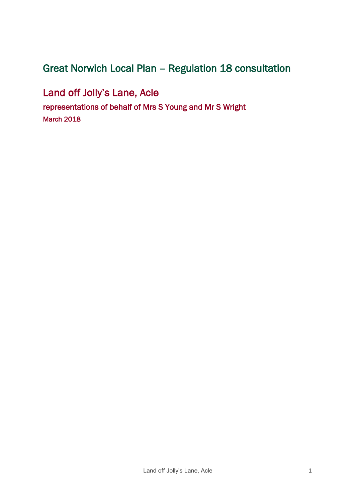# Great Norwich Local Plan – Regulation 18 consultation

Land off Jolly's Lane, Acle representations of behalf of Mrs S Young and Mr S Wright March 2018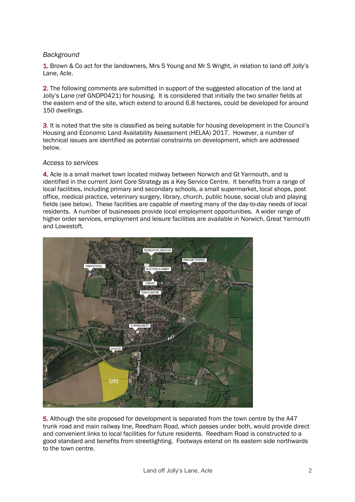# *Background*

1. Brown & Co act for the landowners, Mrs S Young and Mr S Wright, in relation to land off Jolly's Lane, Acle.

2. The following comments are submitted in support of the suggested allocation of the land at Jolly's Lane (ref GNDP0421) for housing. It is considered that initially the two smaller fields at the eastern end of the site, which extend to around 6.8 hectares, could be developed for around 150 dwellings.

3. It is noted that the site is classified as being suitable for housing development in the Council's Housing and Economic Land Availability Assessment (HELAA) 2017. However, a number of technical issues are identified as potential constraints on development, which are addressed below.

#### *Access to services*

4. Acle is a small market town located midway between Norwich and Gt Yarmouth, and is identified in the current Joint Core Strategy as a Key Service Centre. It benefits from a range of local facilities, including primary and secondary schools, a small supermarket, local shops, post office, medical practice, veterinary surgery, library, church, public house, social club and playing fields (see below). These facilities are capable of meeting many of the day-to-day needs of local residents. A number of businesses provide local employment opportunities. A wider range of higher order services, employment and leisure facilities are available in Norwich, Great Yarmouth and Lowestoft.



5. Although the site proposed for development is separated from the town centre by the A47 trunk road and main railway line, Reedham Road, which passes under both, would provide direct and convenient links to local facilities for future residents. Reedham Road is constructed to a good standard and benefits from streetlighting. Footways extend on its eastern side northwards to the town centre.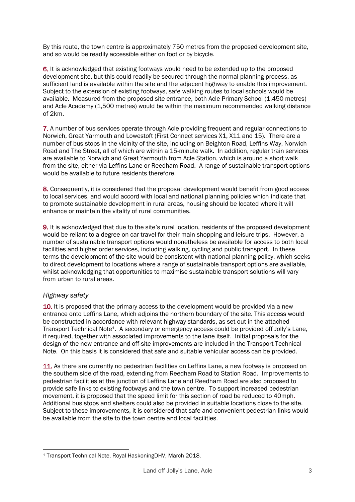By this route, the town centre is approximately 750 metres from the proposed development site, and so would be readily accessible either on foot or by bicycle.

6. It is acknowledged that existing footways would need to be extended up to the proposed development site, but this could readily be secured through the normal planning process, as sufficient land is available within the site and the adjacent highway to enable this improvement. Subject to the extension of existing footways, safe walking routes to local schools would be available. Measured from the proposed site entrance, both Acle Primary School (1,450 metres) and Acle Academy (1,500 metres) would be within the maximum recommended walking distance of 2km.

7. A number of bus services operate through Acle providing frequent and regular connections to Norwich, Great Yarmouth and Lowestoft (First Connect services X1, X11 and 15). There are a number of bus stops in the vicinity of the site, including on Beighton Road, Leffins Way, Norwich Road and The Street, all of which are within a 15-minute walk. In addition, regular train services are available to Norwich and Great Yarmouth from Acle Station, which is around a short walk from the site, either via Leffins Lane or Reedham Road. A range of sustainable transport options would be available to future residents therefore.

8. Consequently, it is considered that the proposal development would benefit from good access to local services, and would accord with local and national planning policies which indicate that to promote sustainable development in rural areas, housing should be located where it will enhance or maintain the vitality of rural communities.

9. It is acknowledged that due to the site's rural location, residents of the proposed development would be reliant to a degree on car travel for their main shopping and leisure trips. However, a number of sustainable transport options would nonetheless be available for access to both local facilities and higher order services, including walking, cycling and public transport. In these terms the development of the site would be consistent with national planning policy, which seeks to direct development to locations where a range of sustainable transport options are available, whilst acknowledging that opportunities to maximise sustainable transport solutions will vary from urban to rural areas.

## *Highway safety*

1

10. It is proposed that the primary access to the development would be provided via a new entrance onto Leffins Lane, which adjoins the northern boundary of the site. This access would be constructed in accordance with relevant highway standards, as set out in the attached Transport Technical Note1. A secondary or emergency access could be provided off Jolly's Lane, if required, together with associated improvements to the lane itself. Initial proposals for the design of the new entrance and off-site improvements are included in the Transport Technical Note. On this basis it is considered that safe and suitable vehicular access can be provided.

11. As there are currently no pedestrian facilities on Leffins Lane, a new footway is proposed on the southern side of the road, extending from Reedham Road to Station Road. Improvements to pedestrian facilities at the junction of Leffins Lane and Reedham Road are also proposed to provide safe links to existing footways and the town centre. To support increased pedestrian movement, it is proposed that the speed limit for this section of road be reduced to 40mph. Additional bus stops and shelters could also be provided in suitable locations close to the site. Subject to these improvements, it is considered that safe and convenient pedestrian links would be available from the site to the town centre and local facilities.

<sup>1</sup> Transport Technical Note, Royal HaskoningDHV, March 2018.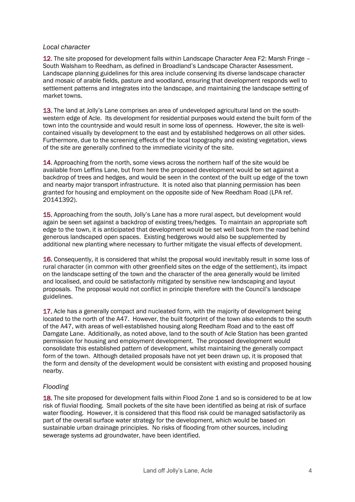#### *Local character*

12. The site proposed for development falls within Landscape Character Area F2: Marsh Fringe – South Walsham to Reedham, as defined in Broadland's Landscape Character Assessment. Landscape planning guidelines for this area include conserving its diverse landscape character and mosaic of arable fields, pasture and woodland, ensuring that development responds well to settlement patterns and integrates into the landscape, and maintaining the landscape setting of market towns.

13. The land at Jolly's Lane comprises an area of undeveloped agricultural land on the southwestern edge of Acle. Its development for residential purposes would extend the built form of the town into the countryside and would result in some loss of openness. However, the site is wellcontained visually by development to the east and by established hedgerows on all other sides. Furthermore, due to the screening effects of the local topography and existing vegetation, views of the site are generally confined to the immediate vicinity of the site.

14. Approaching from the north, some views across the northern half of the site would be available from Leffins Lane, but from here the proposed development would be set against a backdrop of trees and hedges, and would be seen in the context of the built up edge of the town and nearby major transport infrastructure. It is noted also that planning permission has been granted for housing and employment on the opposite side of New Reedham Road (LPA ref. 20141392).

15. Approaching from the south, Jolly's Lane has a more rural aspect, but development would again be seen set against a backdrop of existing trees/hedges. To maintain an appropriate soft edge to the town, it is anticipated that development would be set well back from the road behind generous landscaped open spaces. Existing hedgerows would also be supplemented by additional new planting where necessary to further mitigate the visual effects of development.

16. Consequently, it is considered that whilst the proposal would inevitably result in some loss of rural character (in common with other greenfield sites on the edge of the settlement), its impact on the landscape setting of the town and the character of the area generally would be limited and localised, and could be satisfactorily mitigated by sensitive new landscaping and layout proposals. The proposal would not conflict in principle therefore with the Council's landscape guidelines.

17. Acle has a generally compact and nucleated form, with the majority of development being located to the north of the A47. However, the built footprint of the town also extends to the south of the A47, with areas of well-established housing along Reedham Road and to the east off Damgate Lane. Additionally, as noted above, land to the south of Acle Station has been granted permission for housing and employment development. The proposed development would consolidate this established pattern of development, whilst maintaining the generally compact form of the town. Although detailed proposals have not yet been drawn up, it is proposed that the form and density of the development would be consistent with existing and proposed housing nearby.

## *Flooding*

18. The site proposed for development falls within Flood Zone 1 and so is considered to be at low risk of fluvial flooding. Small pockets of the site have been identified as being at risk of surface water flooding. However, it is considered that this flood risk could be managed satisfactorily as part of the overall surface water strategy for the development, which would be based on sustainable urban drainage principles. No risks of flooding from other sources, including sewerage systems ad groundwater, have been identified.